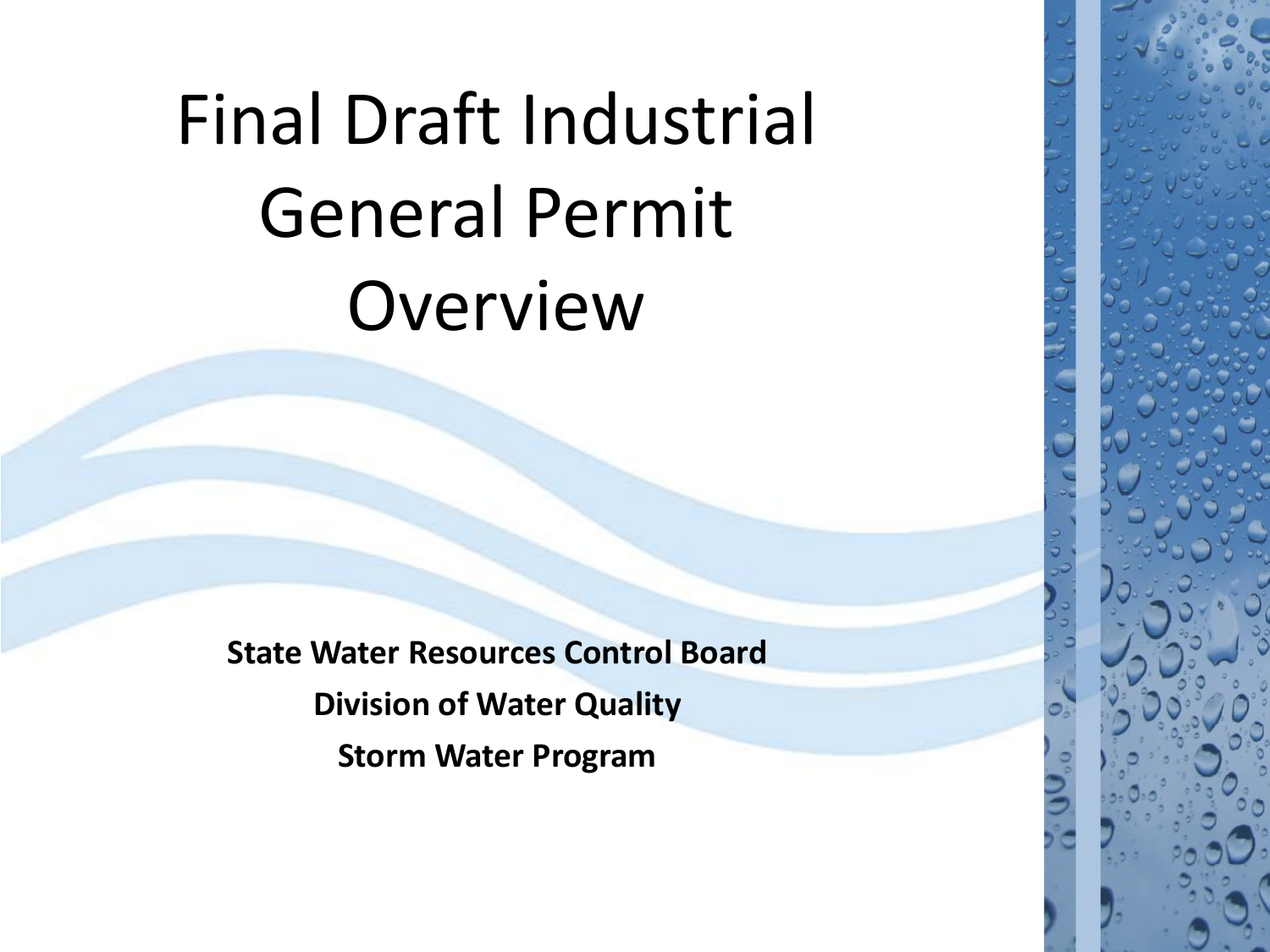## Final Draft Industrial General Permit Overview

**State Water Resources Control Board Division of Water Quality Storm Water Program**

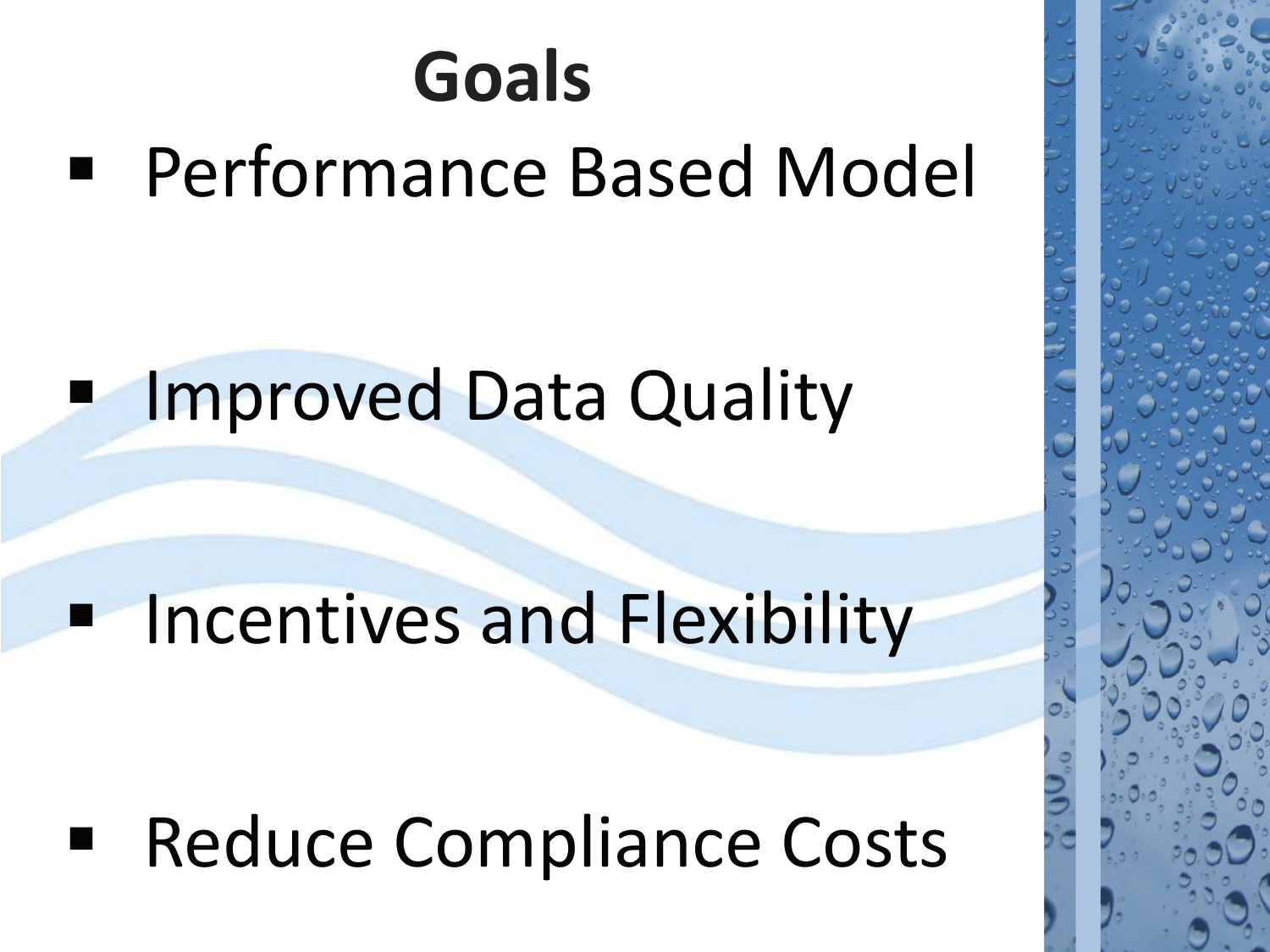## Performance Based Model **Goals**

## Improved Data Quality

## Incentives and Flexibility

## Reduce Compliance Costs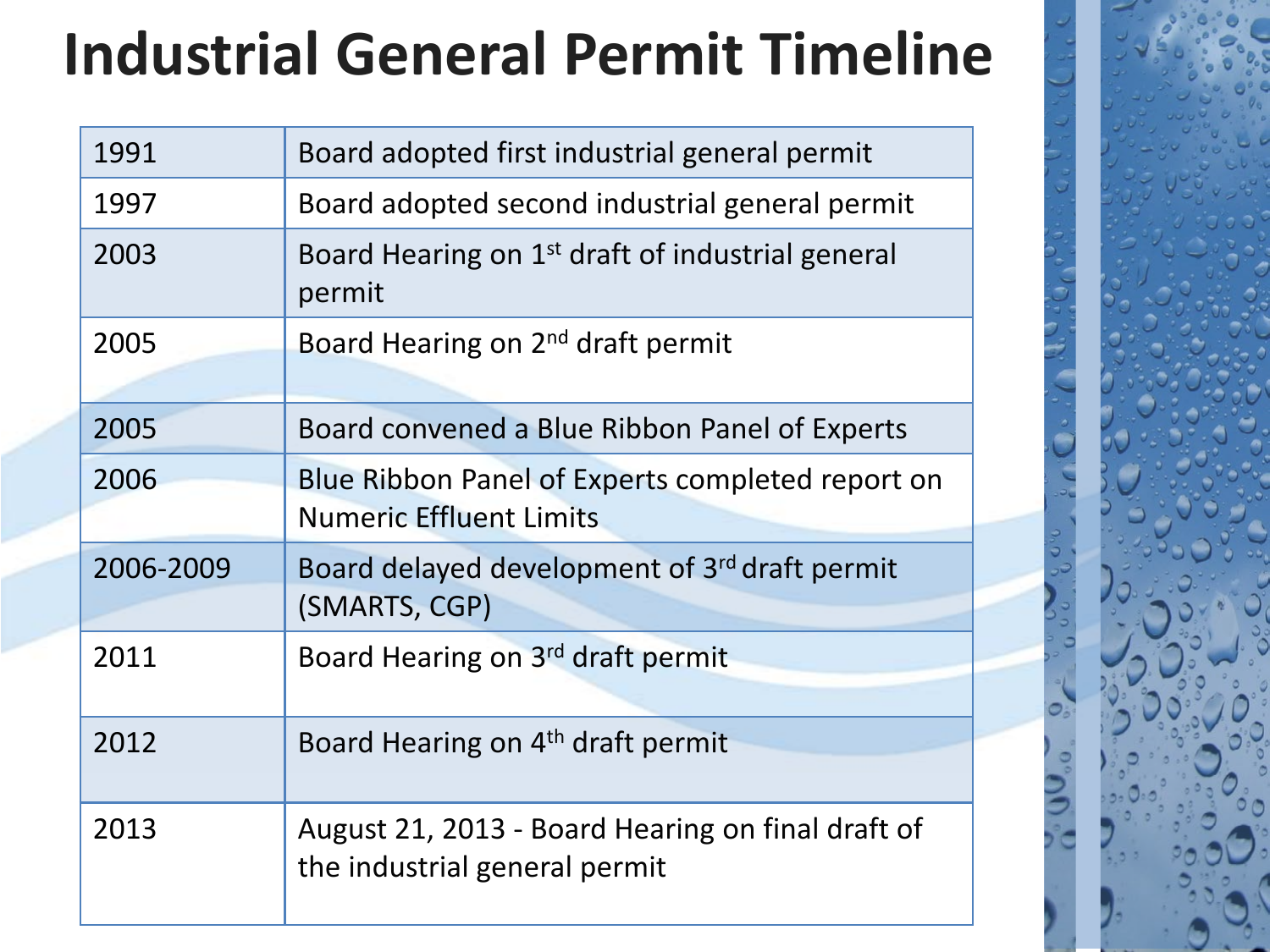## **Industrial General Permit Timeline**

| 1991      | Board adopted first industrial general permit                                      |
|-----------|------------------------------------------------------------------------------------|
| 1997      | Board adopted second industrial general permit                                     |
| 2003      | Board Hearing on 1 <sup>st</sup> draft of industrial general<br>permit             |
| 2005      | Board Hearing on 2 <sup>nd</sup> draft permit                                      |
| 2005      | Board convened a Blue Ribbon Panel of Experts                                      |
| 2006      | Blue Ribbon Panel of Experts completed report on<br><b>Numeric Effluent Limits</b> |
| 2006-2009 | Board delayed development of 3rd draft permit<br>(SMARTS, CGP)                     |
| 2011      | Board Hearing on 3rd draft permit                                                  |
| 2012      | Board Hearing on 4 <sup>th</sup> draft permit                                      |
| 2013      | August 21, 2013 - Board Hearing on final draft of<br>the industrial general permit |
|           |                                                                                    |

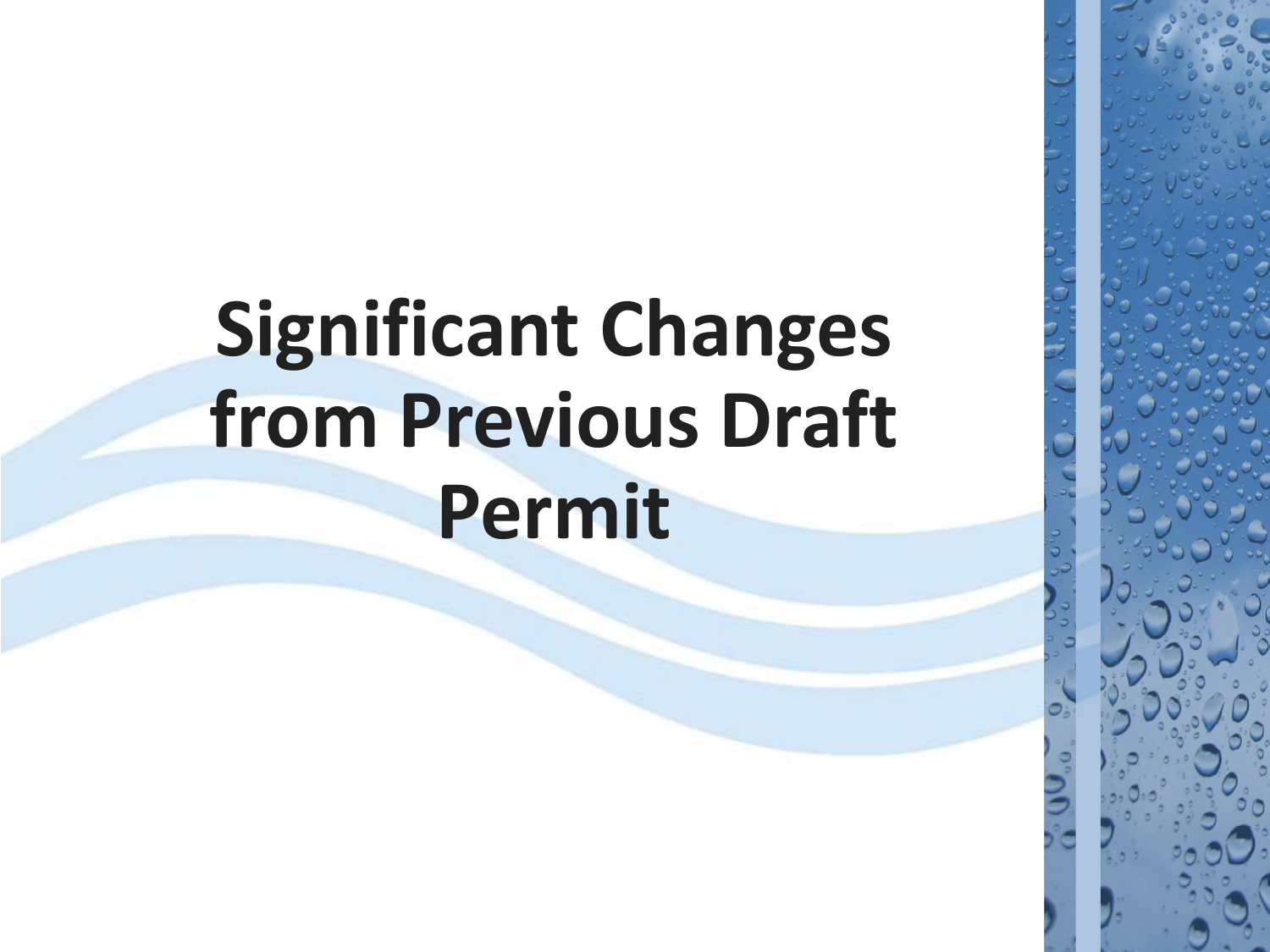## **Significant Changes from Previous Draft Permit**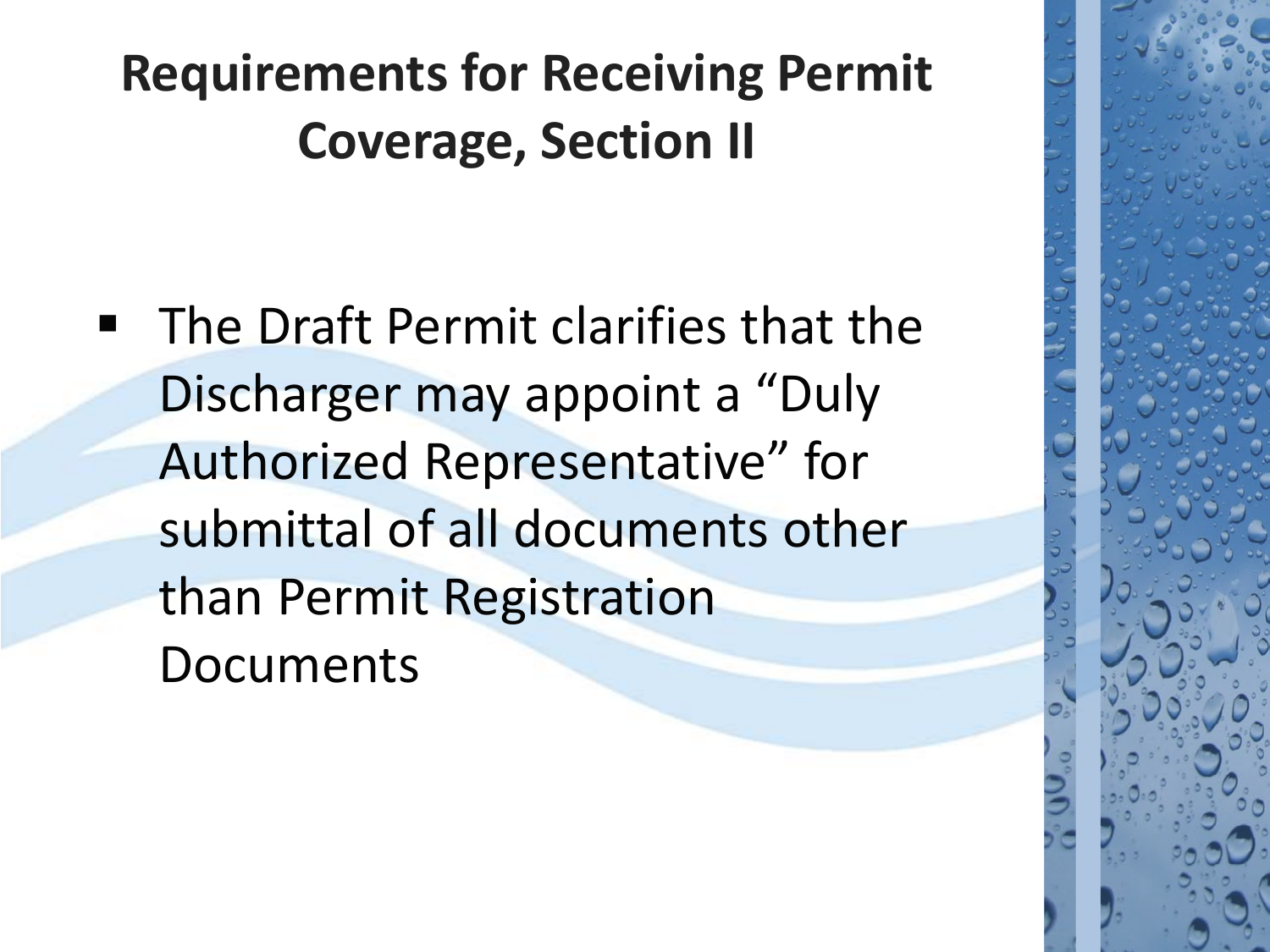## **Requirements for Receiving Permit Coverage, Section II**

 The Draft Permit clarifies that the Discharger may appoint a "Duly Authorized Representative" for submittal of all documents other than Permit Registration Documents

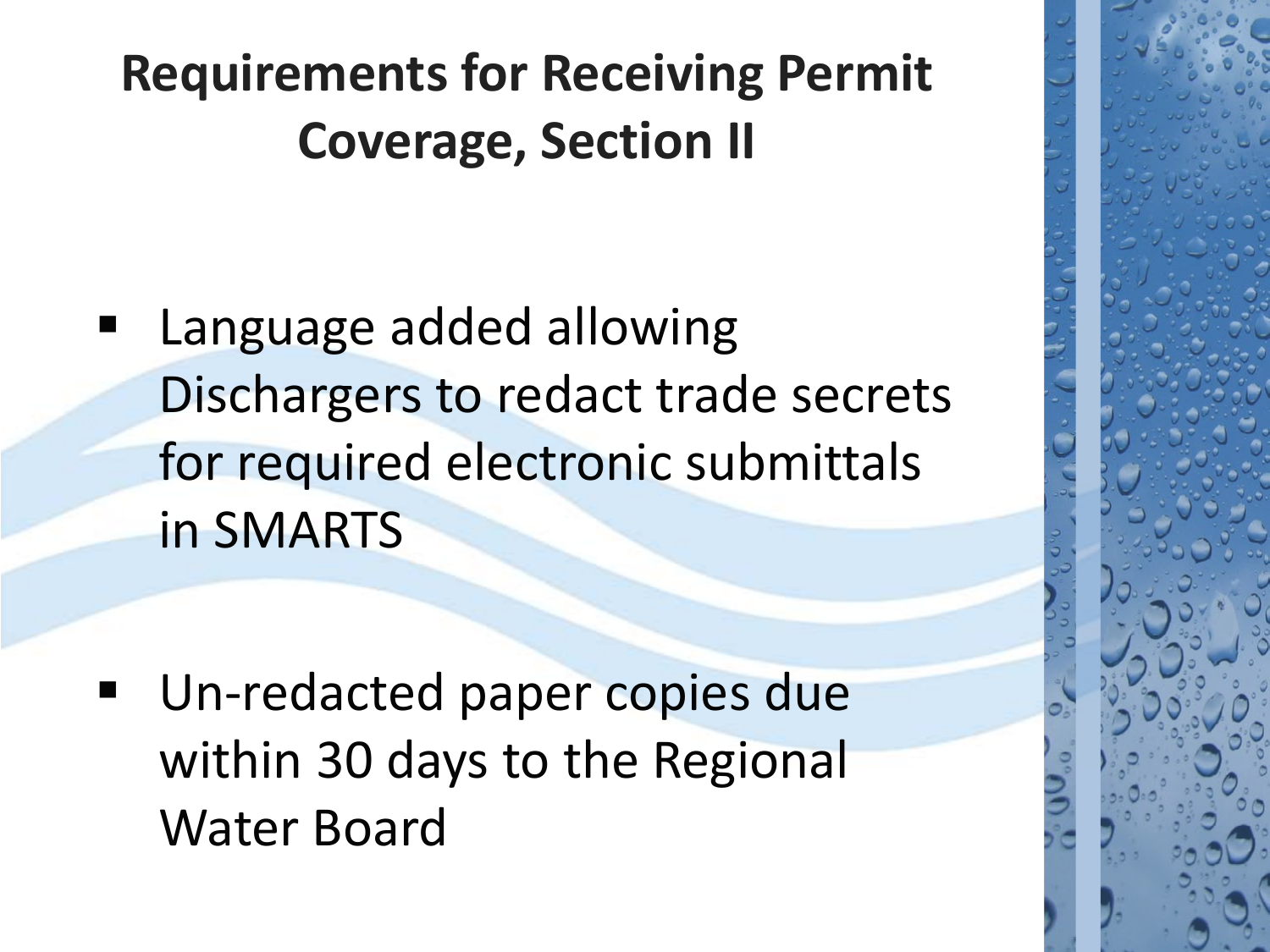## **Requirements for Receiving Permit Coverage, Section II**

 Language added allowing Dischargers to redact trade secrets for required electronic submittals in SMARTS

 Un-redacted paper copies due within 30 days to the Regional Water Board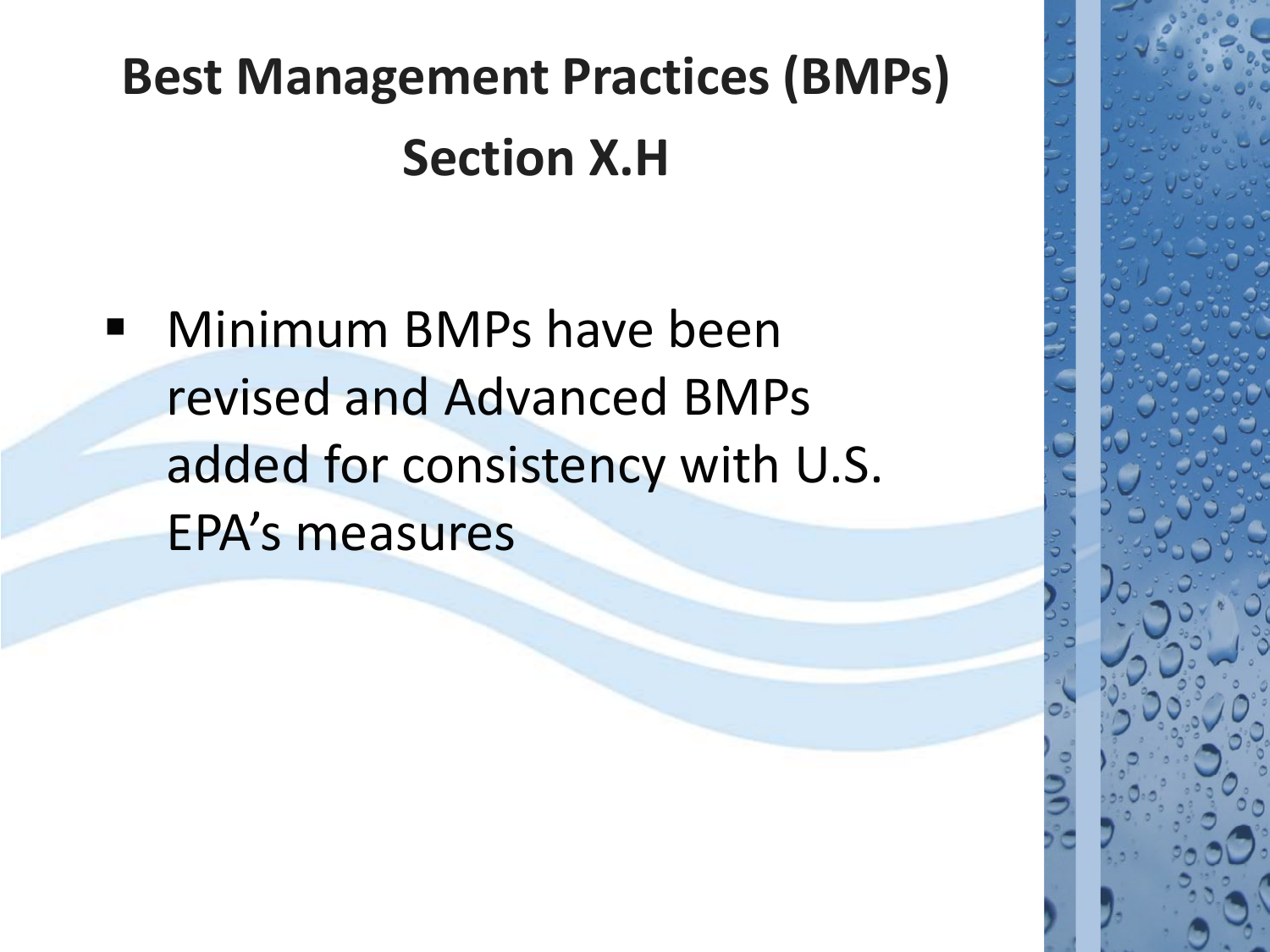## **Best Management Practices (BMPs) Section X.H**

**Ninimum BMPs have been** revised and Advanced BMPs added for consistency with U.S. EPA's measures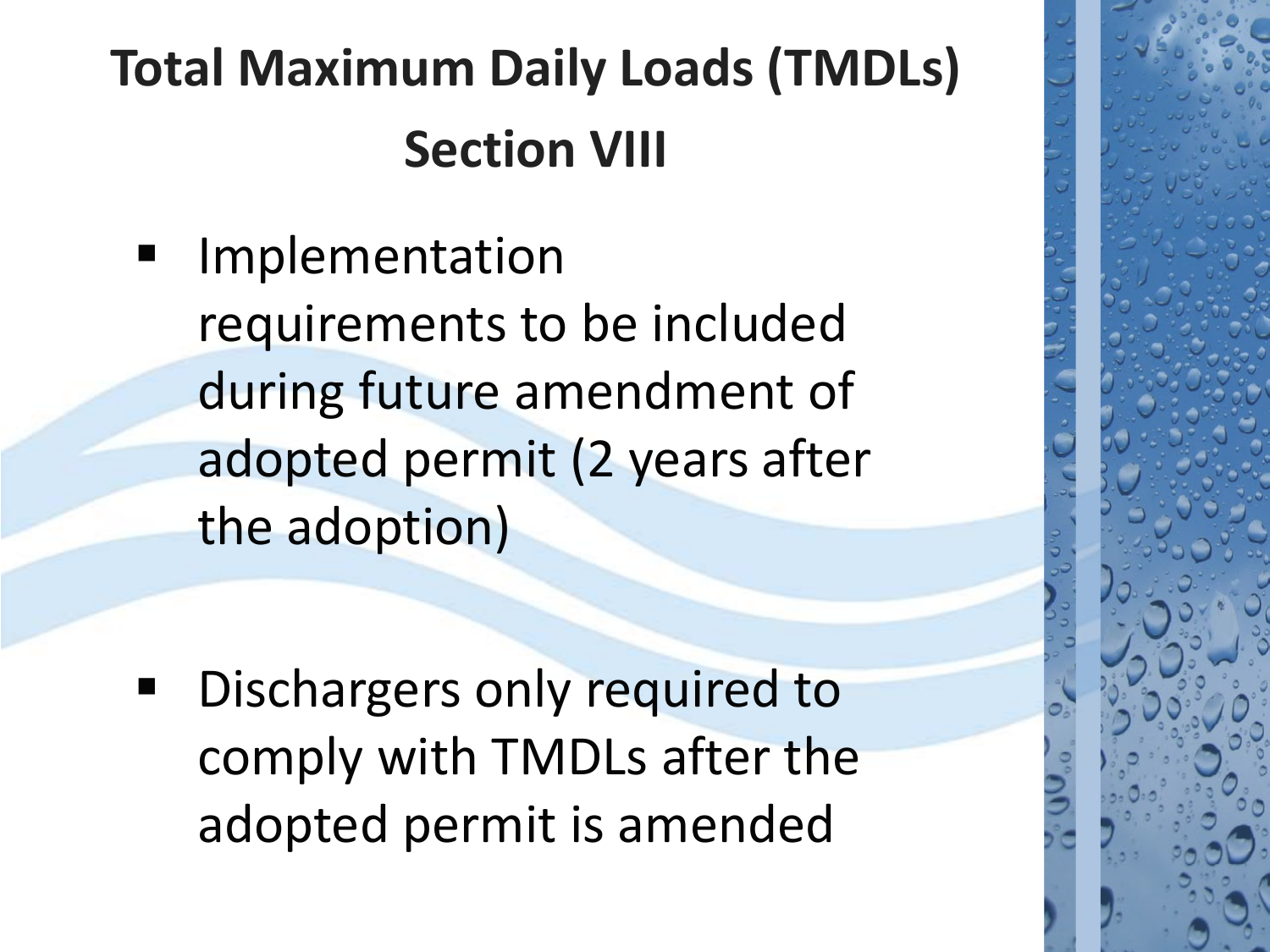## **Total Maximum Daily Loads (TMDLs) Section VIII**

 Implementation requirements to be included during future amendment of adopted permit (2 years after the adoption)

 Dischargers only required to comply with TMDLs after the adopted permit is amended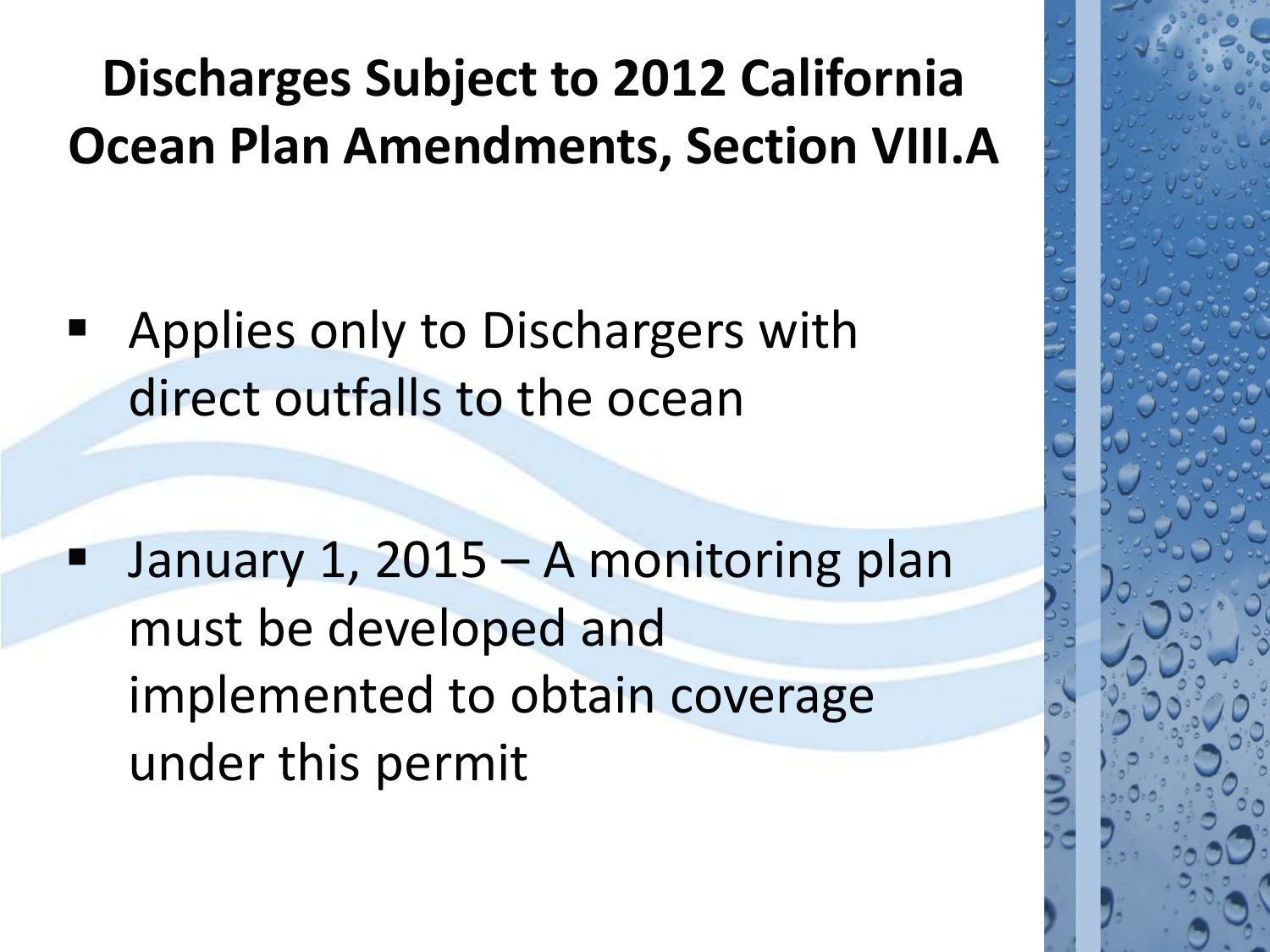## **Discharges Subject to 2012 California Ocean Plan Amendments, Section VIII.A**

 Applies only to Dischargers with direct outfalls to the ocean

 January 1, 2015 – A monitoring plan must be developed and implemented to obtain coverage under this permit

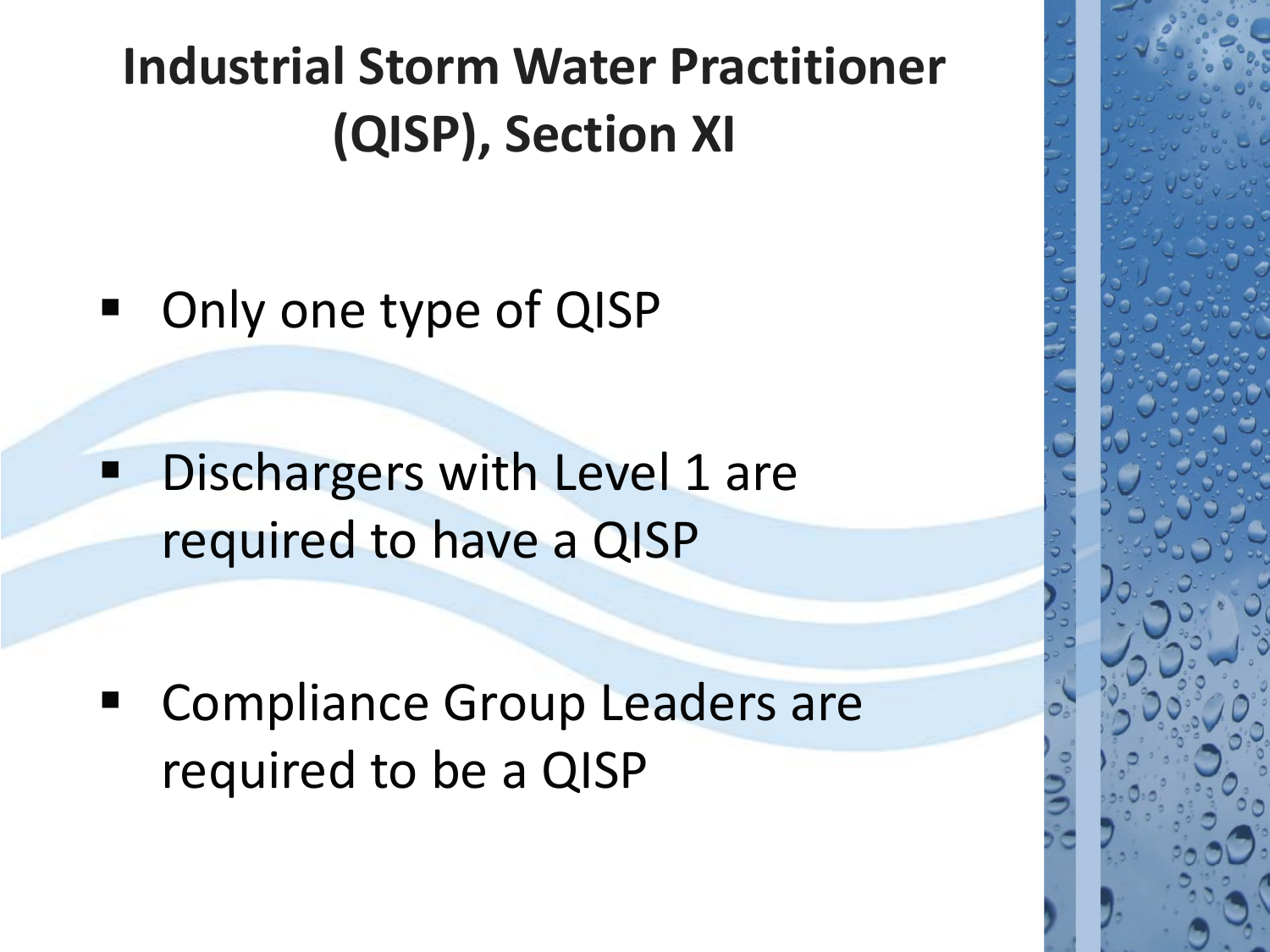## **Industrial Storm Water Practitioner (QISP), Section XI**

■ Only one type of QISP

 Dischargers with Level 1 are required to have a QISP

**EX Compliance Group Leaders are** required to be a QISP

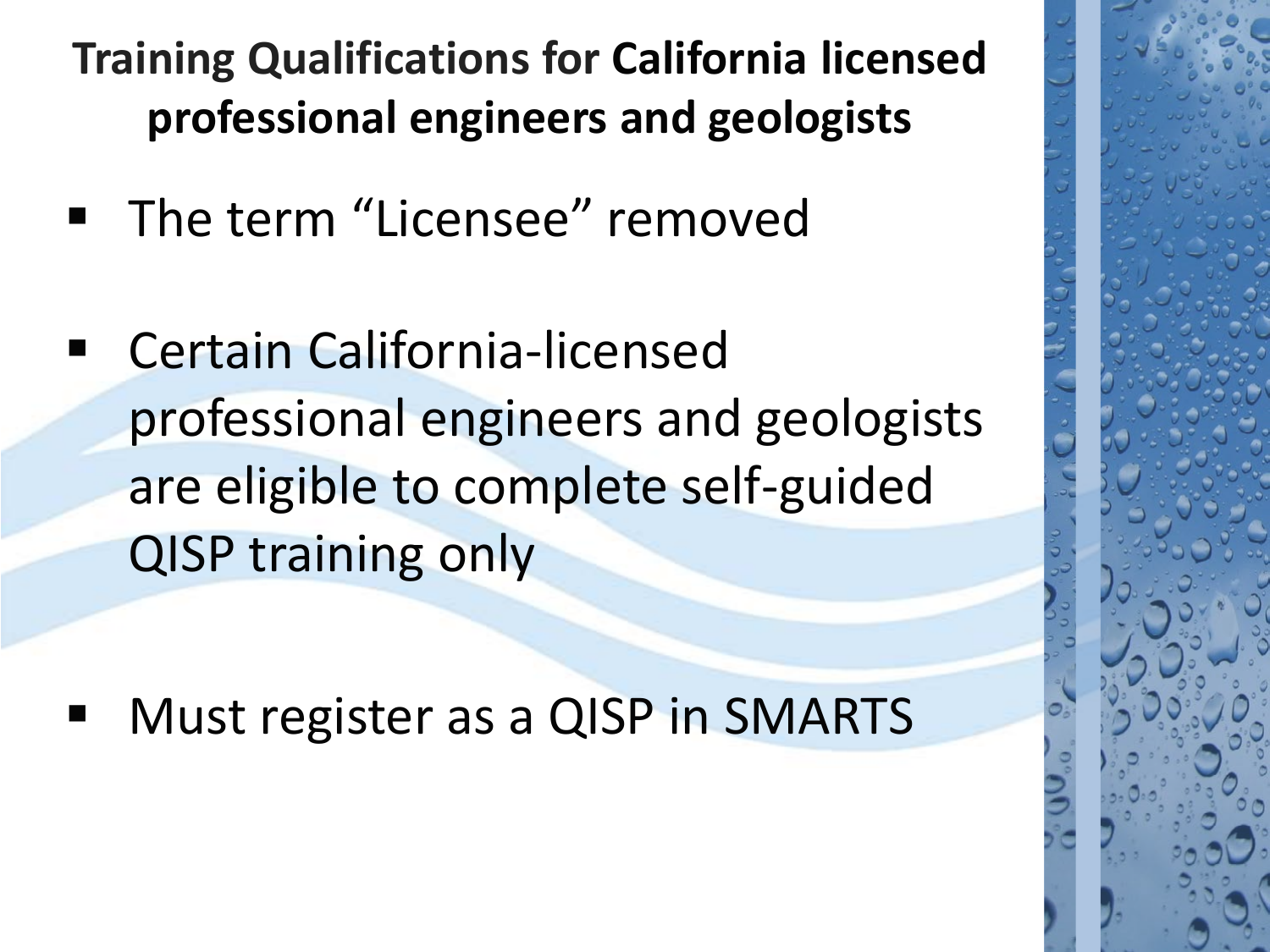**Training Qualifications for California licensed professional engineers and geologists** 

- **The term "Licensee" removed**
- Certain California-licensed professional engineers and geologists are eligible to complete self-guided QISP training only

Must register as a QISP in SMARTS

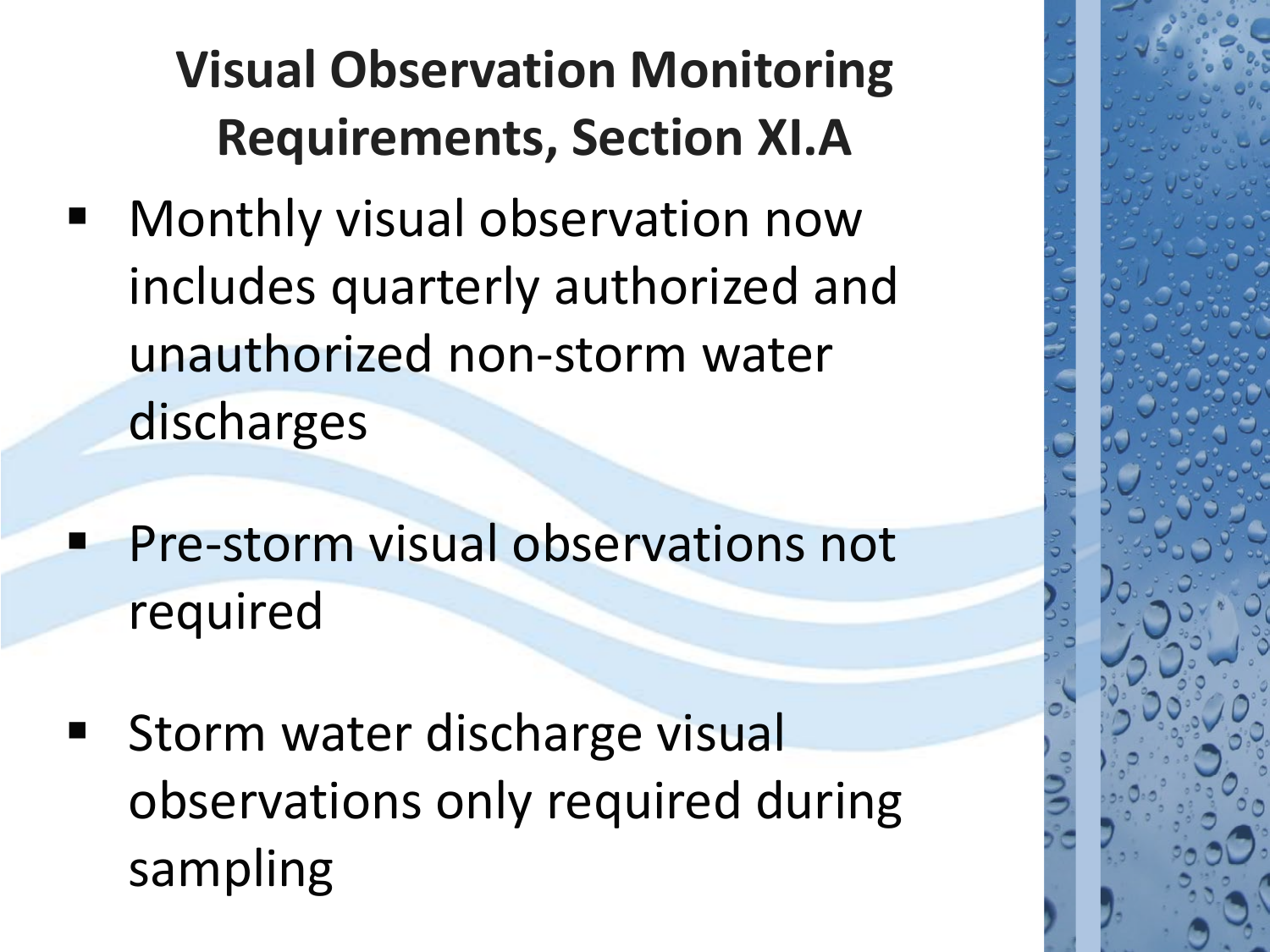## **Visual Observation Monitoring Requirements, Section XI.A**

- Monthly visual observation now includes quarterly authorized and unauthorized non-storm water discharges
- Pre-storm visual observations not required
- Storm water discharge visual observations only required during sampling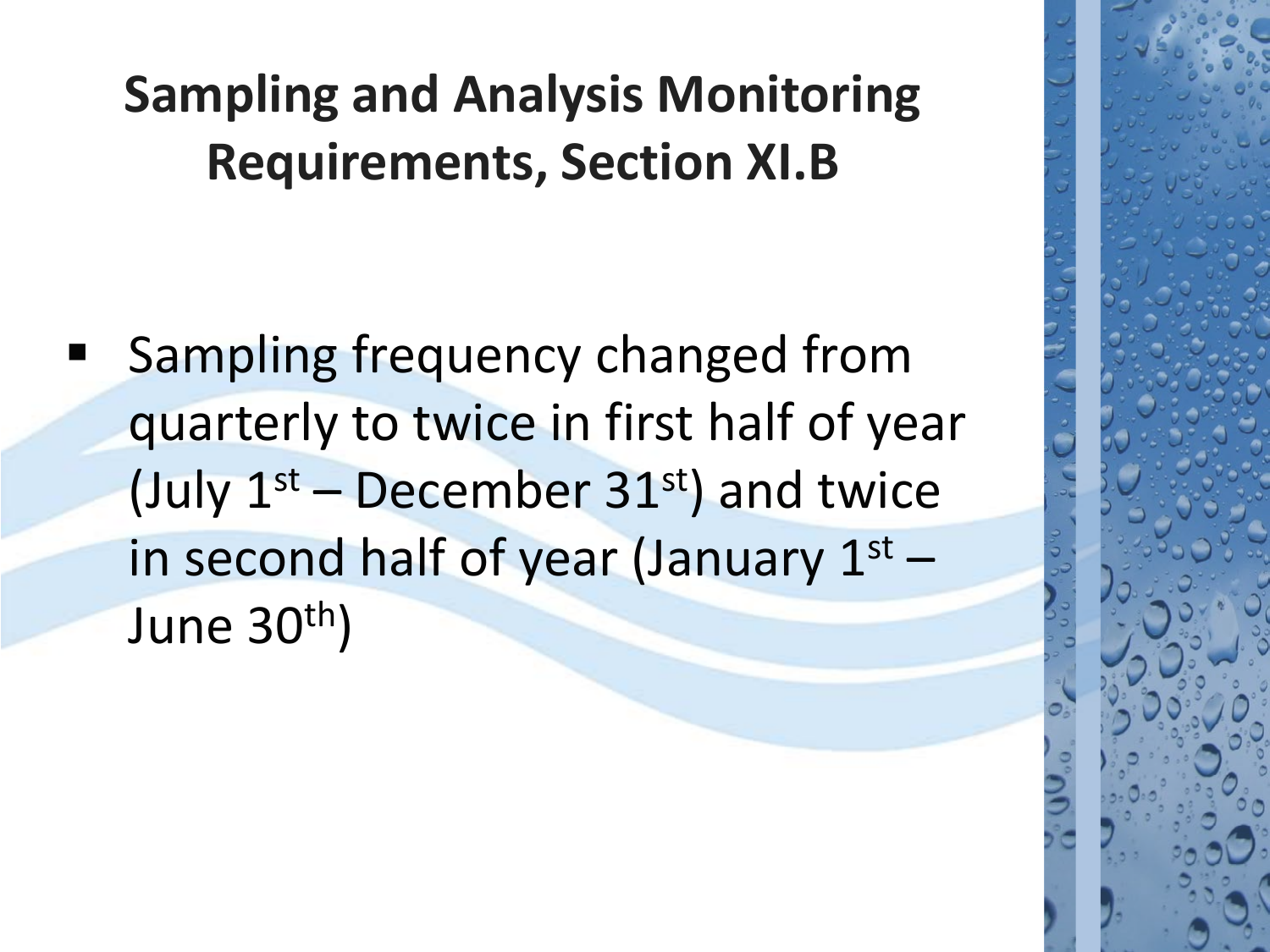Sampling frequency changed from quarterly to twice in first half of year (July  $1<sup>st</sup>$  – December 31st) and twice in second half of year (January  $1<sup>st</sup>$  – June 30th)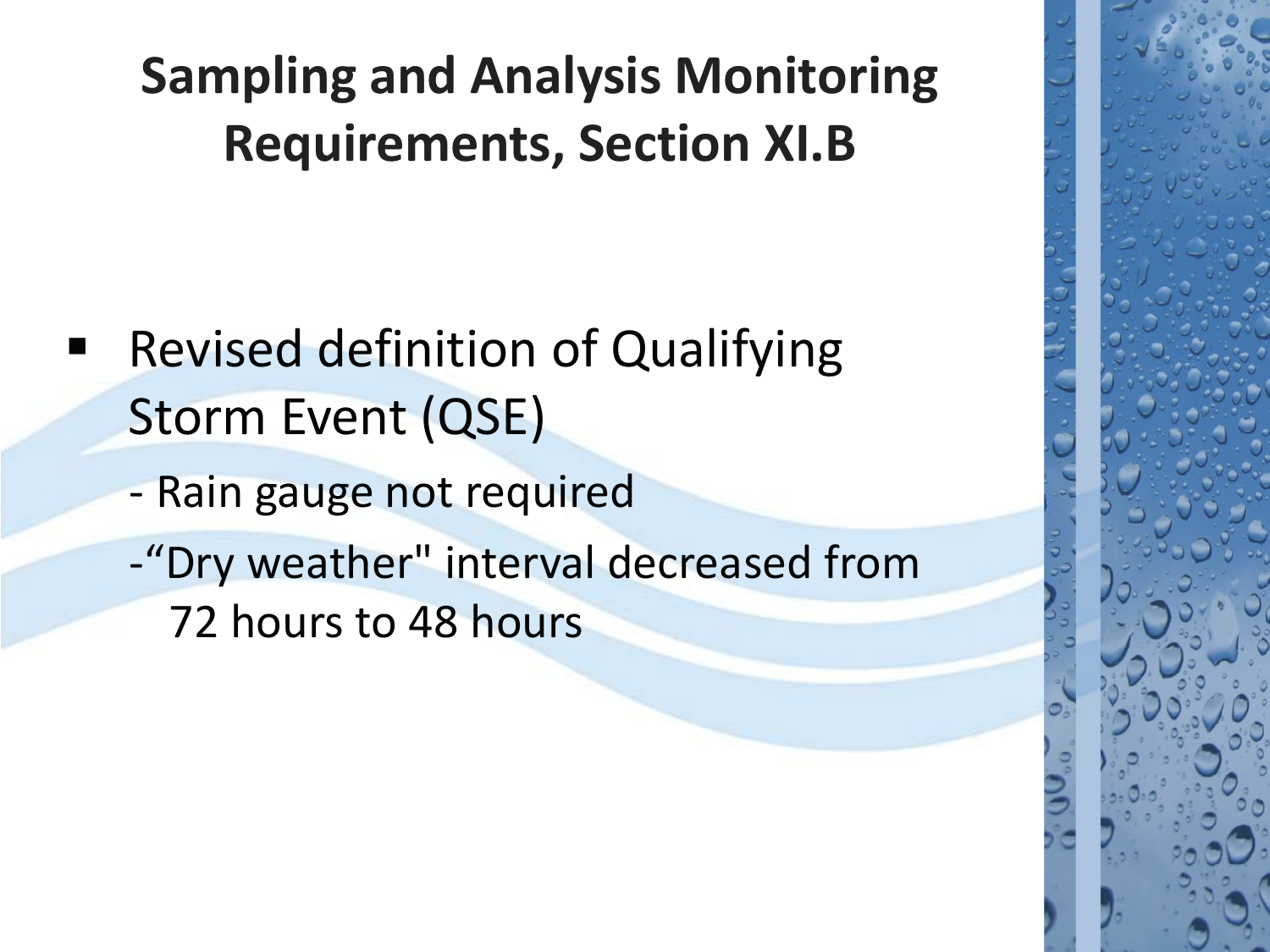- Revised definition of Qualifying Storm Event (QSE)
	- Rain gauge not required
	- -"Dry weather" interval decreased from 72 hours to 48 hours

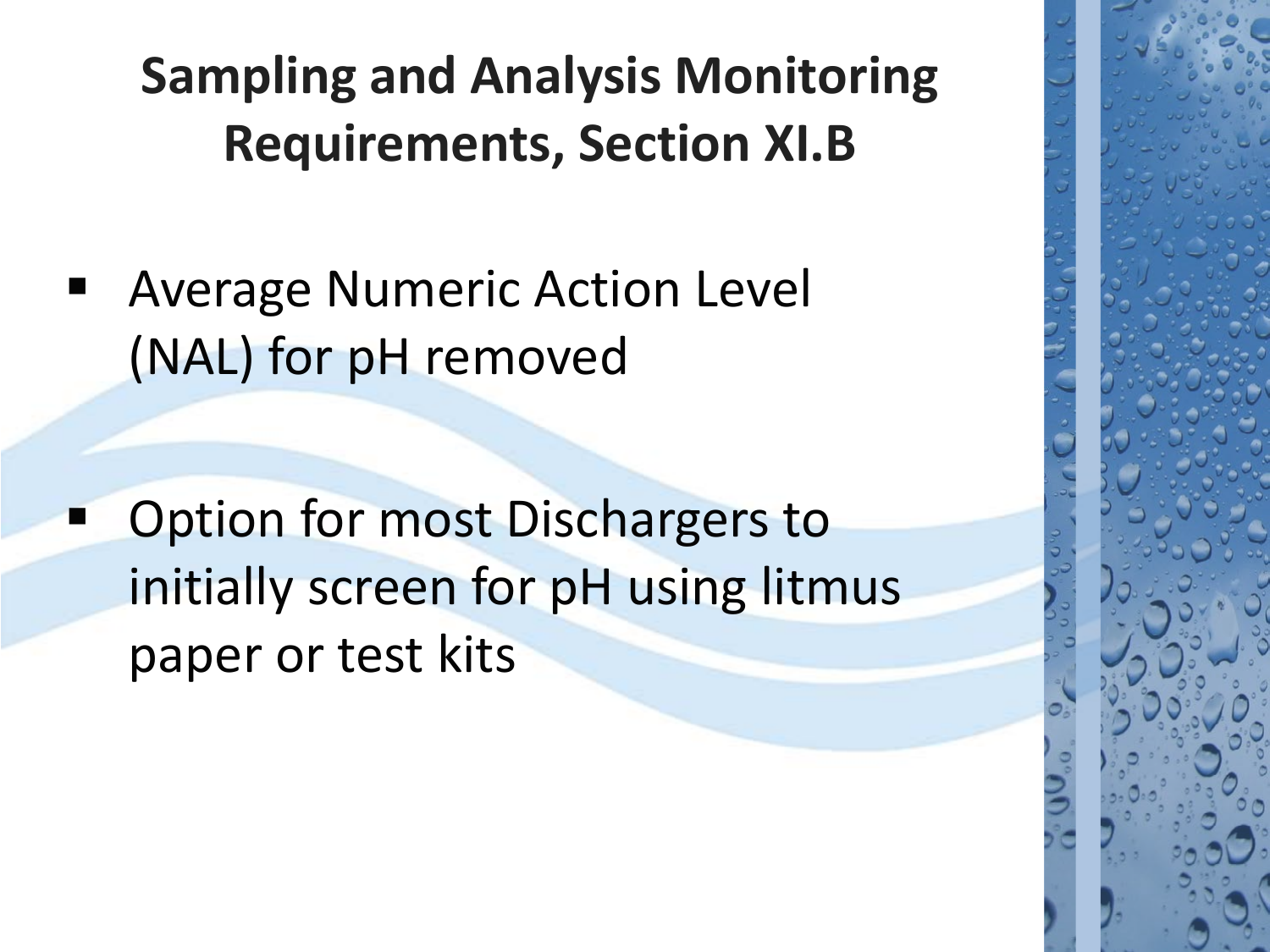Average Numeric Action Level (NAL) for pH removed

 Option for most Dischargers to initially screen for pH using litmus paper or test kits

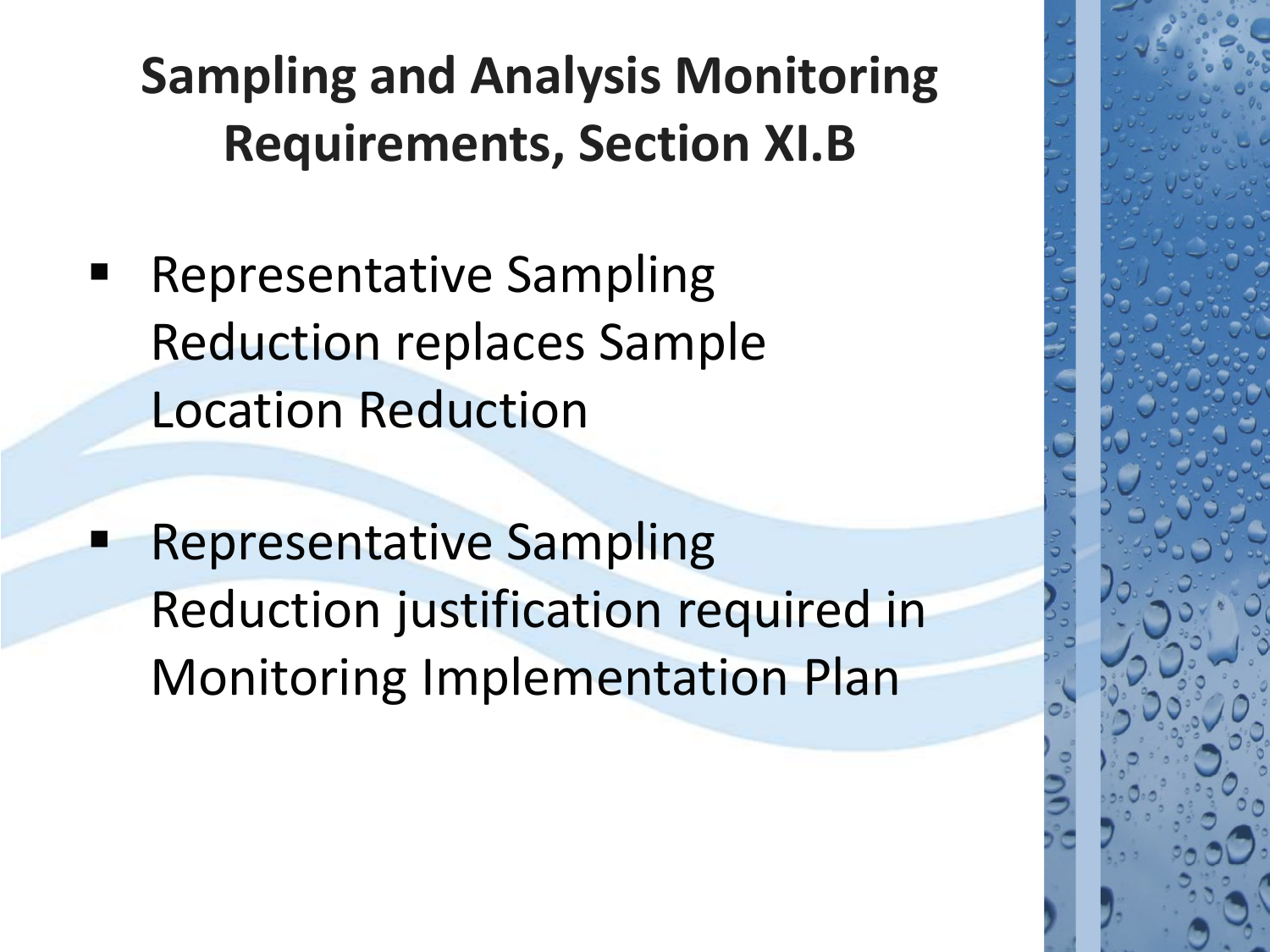- Representative Sampling Reduction replaces Sample Location Reduction
- Representative Sampling Reduction justification required in Monitoring Implementation Plan

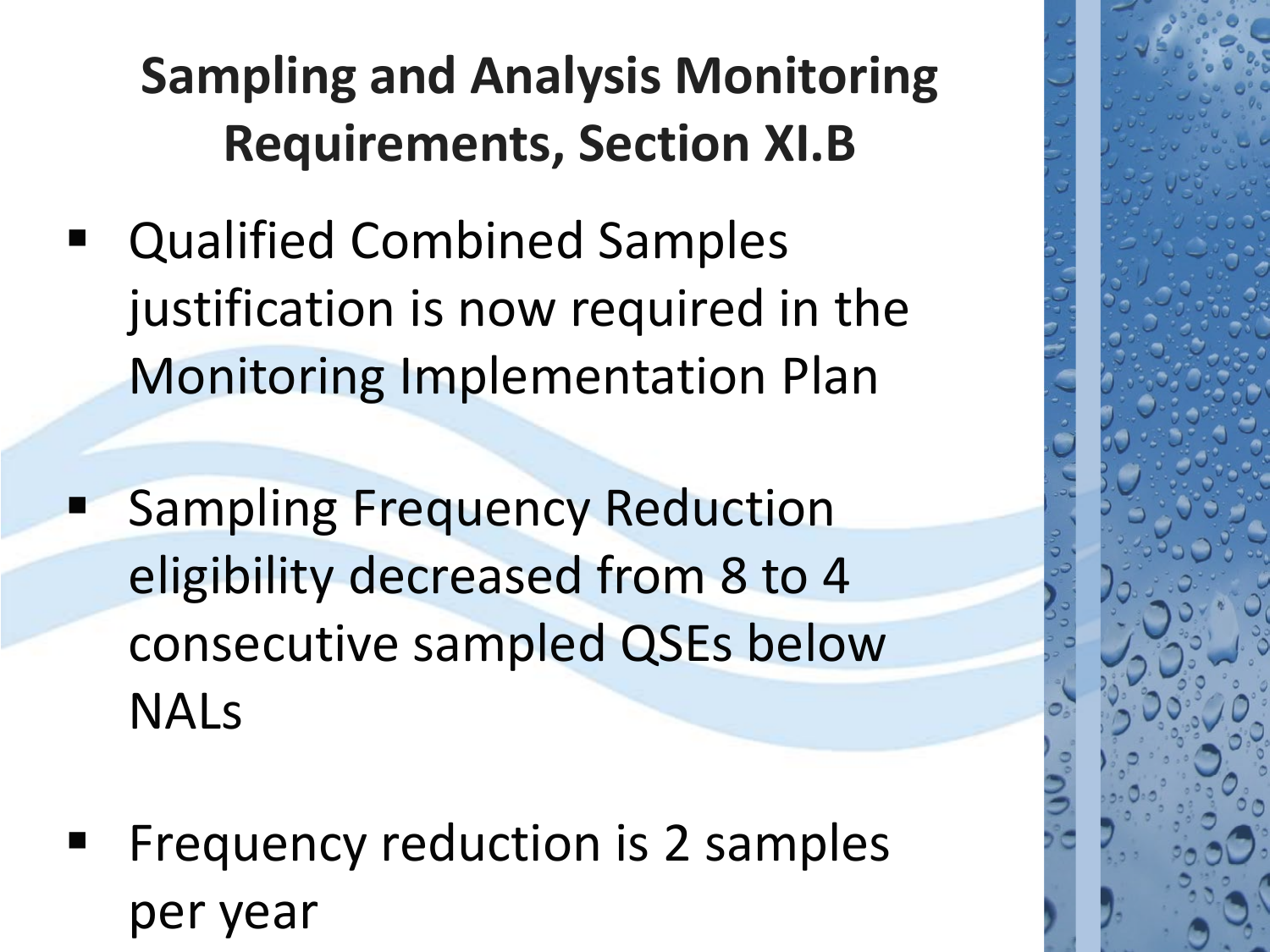- Qualified Combined Samples justification is now required in the Monitoring Implementation Plan
- **Sampling Frequency Reduction** eligibility decreased from 8 to 4 consecutive sampled QSEs below NALs
- Frequency reduction is 2 samples per year

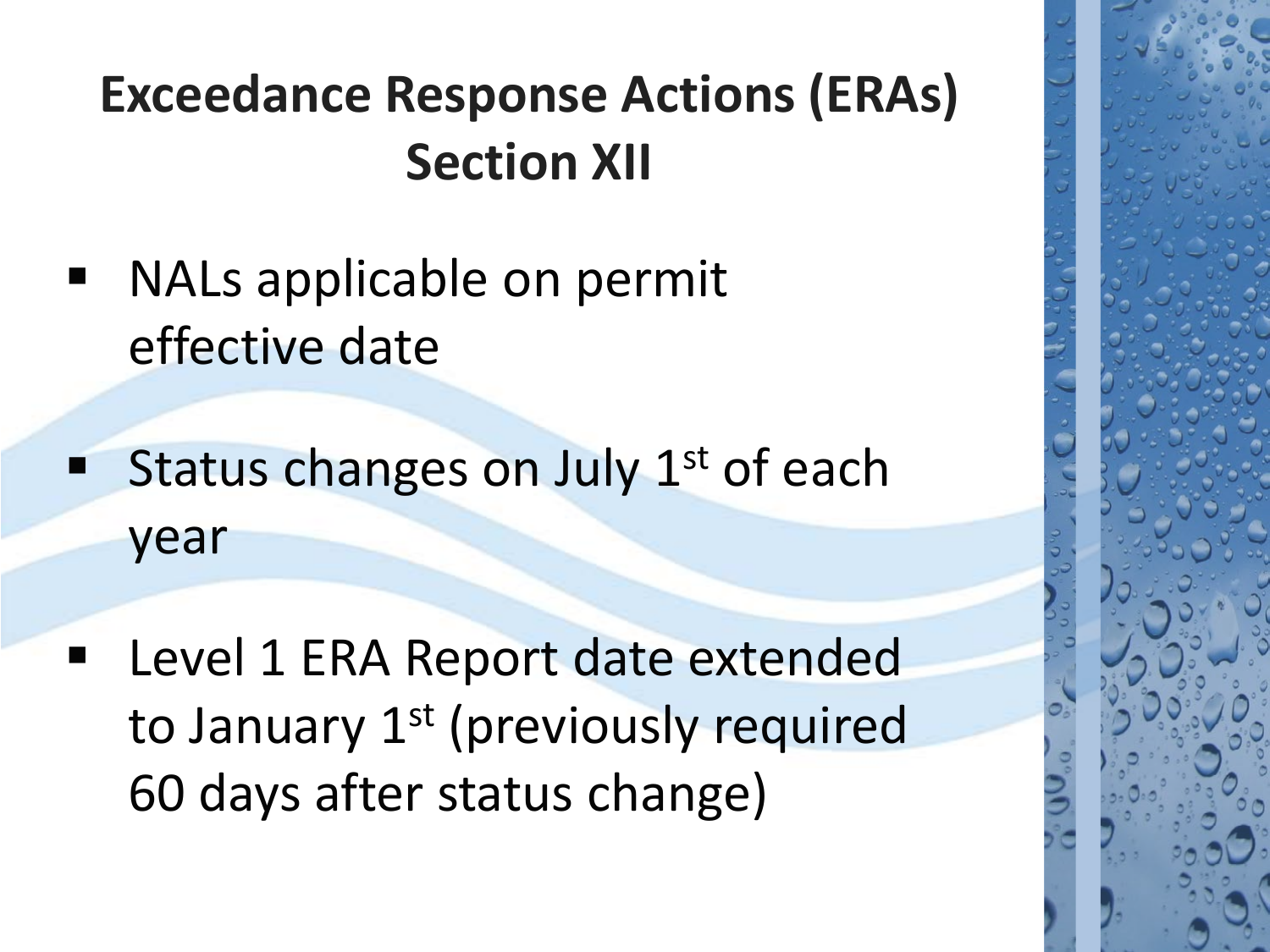- NALs applicable on permit effective date
- Status changes on July 1<sup>st</sup> of each year
- Level 1 ERA Report date extended to January 1<sup>st</sup> (previously required 60 days after status change)

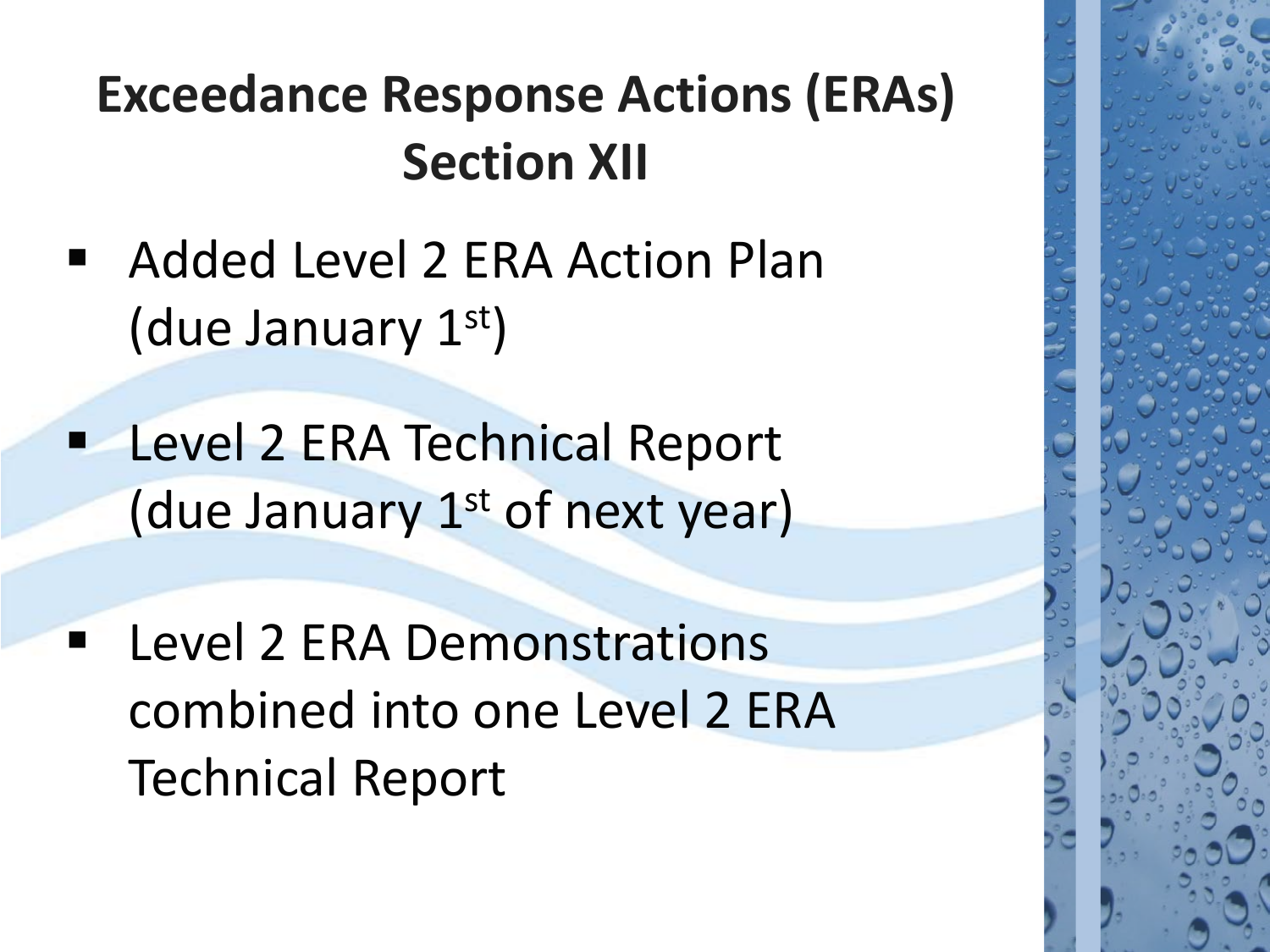- Added Level 2 ERA Action Plan (due January 1st)
- **Level 2 ERA Technical Report** (due January  $1<sup>st</sup>$  of next year)
- **EXA Demonstrations** combined into one Level 2 ERA Technical Report

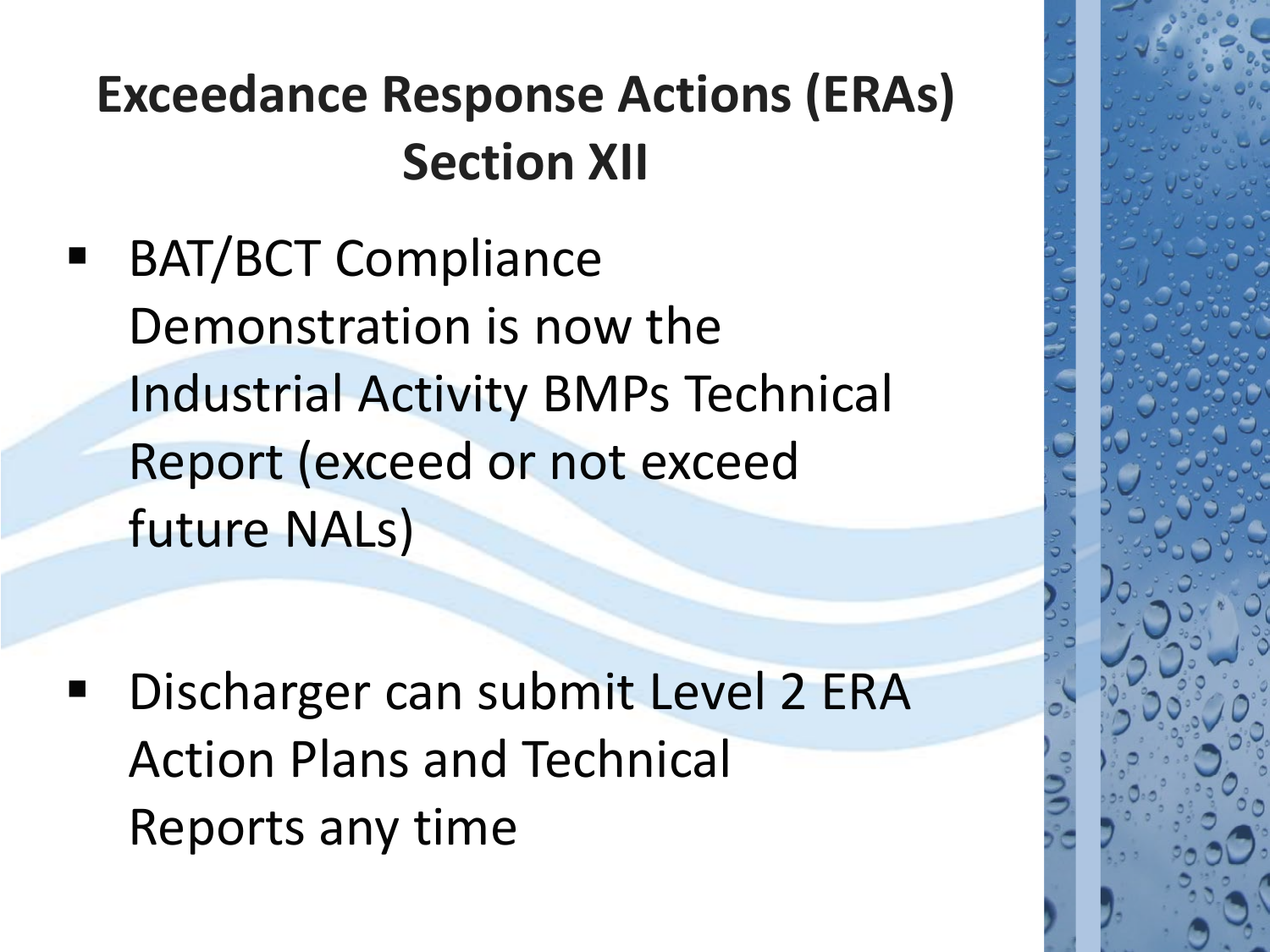BAT/BCT Compliance Demonstration is now the Industrial Activity BMPs Technical Report (exceed or not exceed future NALs)

 Discharger can submit Level 2 ERA Action Plans and Technical Reports any time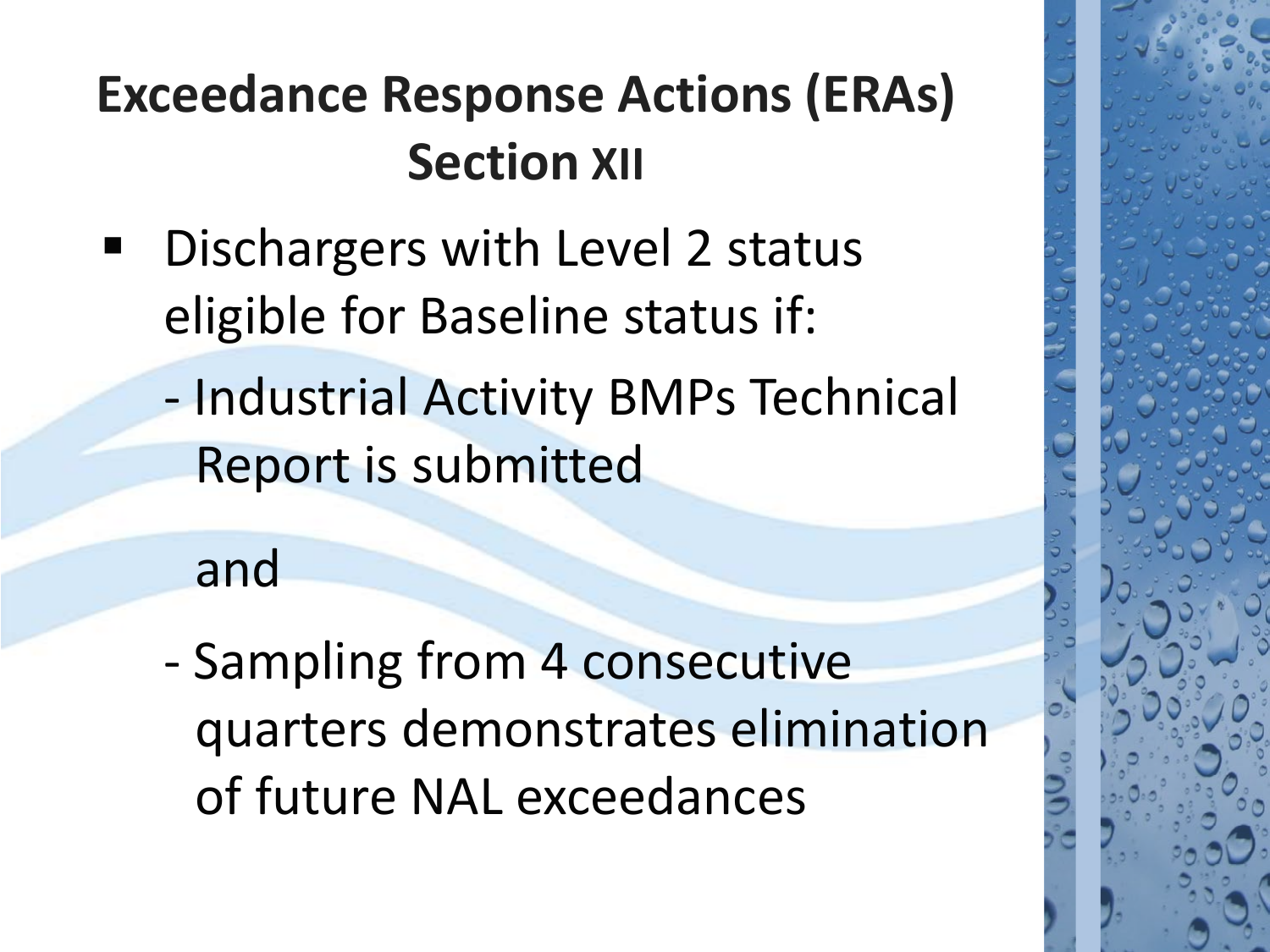- **Dischargers with Level 2 status** eligible for Baseline status if:
	- Industrial Activity BMPs Technical Report is submitted

and

- Sampling from 4 consecutive quarters demonstrates elimination of future NAL exceedances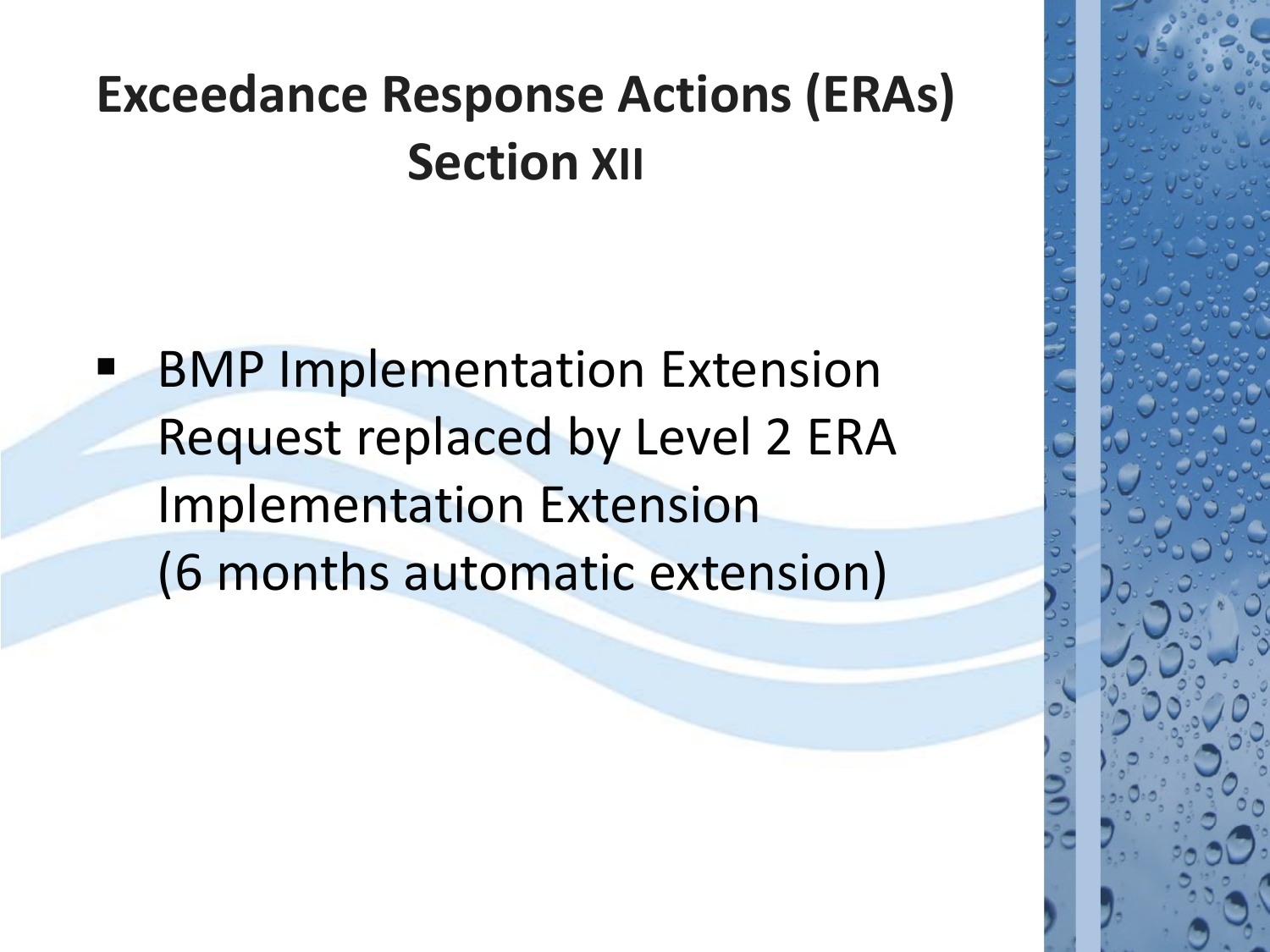BMP Implementation Extension Request replaced by Level 2 ERA Implementation Extension (6 months automatic extension)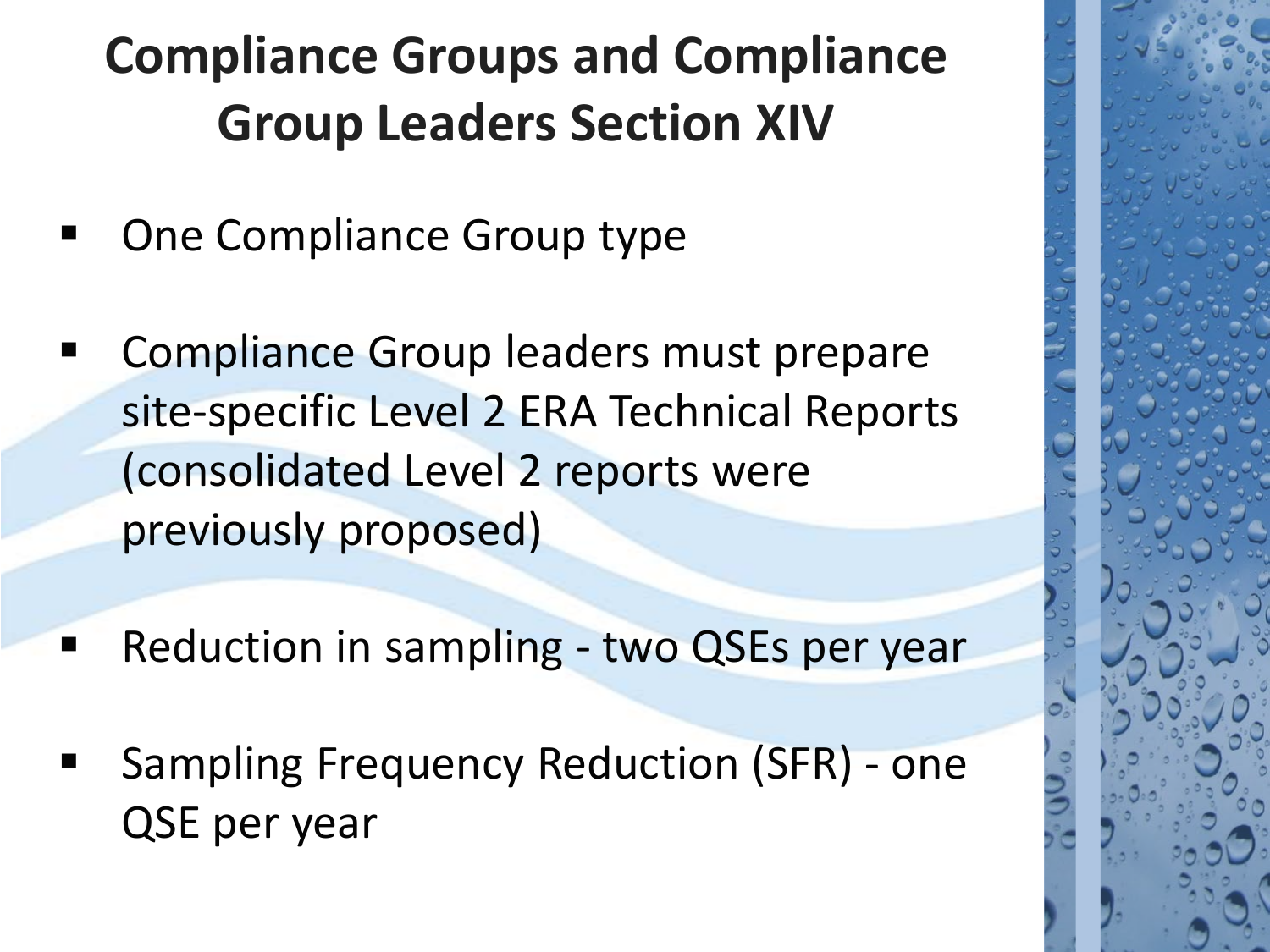## **Compliance Groups and Compliance Group Leaders Section XIV**

- One Compliance Group type
- Compliance Group leaders must prepare site-specific Level 2 ERA Technical Reports (consolidated Level 2 reports were previously proposed)
- **Reduction in sampling two QSEs per year**
- Sampling Frequency Reduction (SFR) one QSE per year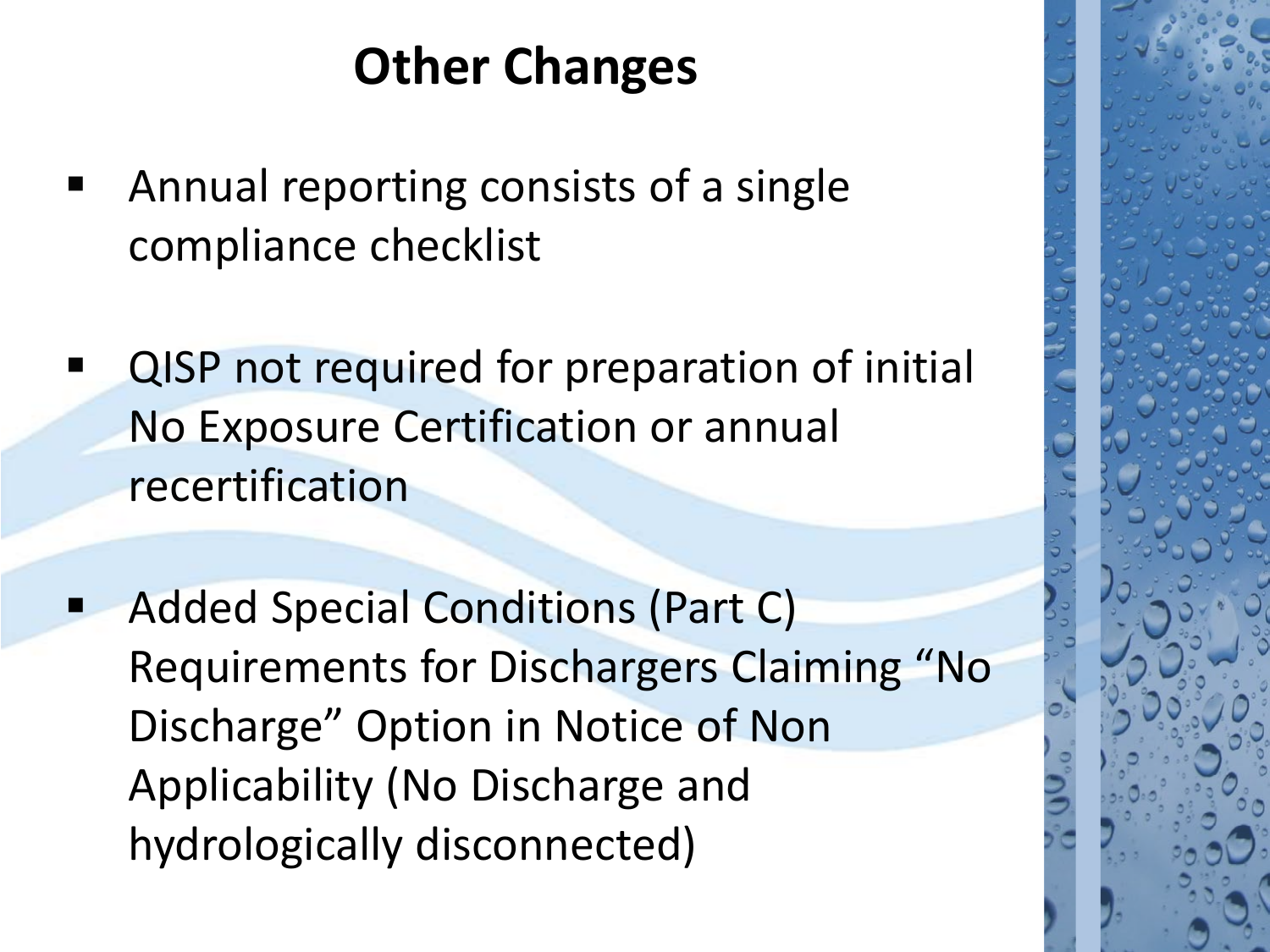## **Other Changes**

- Annual reporting consists of a single compliance checklist
- QISP not required for preparation of initial No Exposure Certification or annual recertification
- Added Special Conditions (Part C) Requirements for Dischargers Claiming "No Discharge" Option in Notice of Non Applicability (No Discharge and hydrologically disconnected)